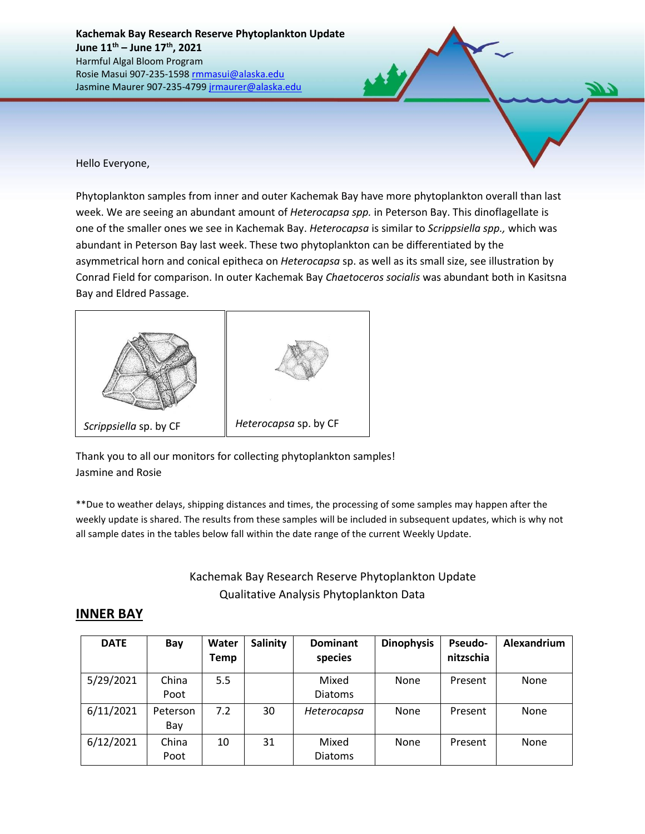**Kachemak Bay Research Reserve Phytoplankton Update June 11th – June 17 th, 2021** Harmful Algal Bloom Program Rosie Masui 907-235-1598 [rmmasui@alaska.edu](mailto:rmmasui@alaska.edu) Jasmine Maurer 907-235-479[9 jrmaurer@alaska.edu](mailto:jrmaurer@alaska.edu)

Hello Everyone,

Phytoplankton samples from inner and outer Kachemak Bay have more phytoplankton overall than last week. We are seeing an abundant amount of *Heterocapsa spp.* in Peterson Bay. This dinoflagellate is one of the smaller ones we see in Kachemak Bay. *Heterocapsa* is similar to *Scrippsiella spp.,* which was abundant in Peterson Bay last week. These two phytoplankton can be differentiated by the asymmetrical horn and conical epitheca on *Heterocapsa* sp. as well as its small size, see illustration by Conrad Field for comparison. In outer Kachemak Bay *Chaetoceros socialis* was abundant both in Kasitsna Bay and Eldred Passage.



Thank you to all our monitors for collecting phytoplankton samples! Jasmine and Rosie

\*\*Due to weather delays, shipping distances and times, the processing of some samples may happen after the weekly update is shared. The results from these samples will be included in subsequent updates, which is why not all sample dates in the tables below fall within the date range of the current Weekly Update.

> Kachemak Bay Research Reserve Phytoplankton Update Qualitative Analysis Phytoplankton Data

## **INNER BAY**

| <b>DATE</b> | Bay             | Water<br>Temp | Salinity | <b>Dominant</b><br>species | <b>Dinophysis</b> | <b>Pseudo-</b><br>nitzschia | Alexandrium |
|-------------|-----------------|---------------|----------|----------------------------|-------------------|-----------------------------|-------------|
| 5/29/2021   | China<br>Poot   | 5.5           |          | Mixed<br><b>Diatoms</b>    | <b>None</b>       | Present                     | None        |
| 6/11/2021   | Peterson<br>Bay | 7.2           | 30       | Heterocapsa                | <b>None</b>       | Present                     | None        |
| 6/12/2021   | China<br>Poot   | 10            | 31       | Mixed<br><b>Diatoms</b>    | None              | Present                     | None        |